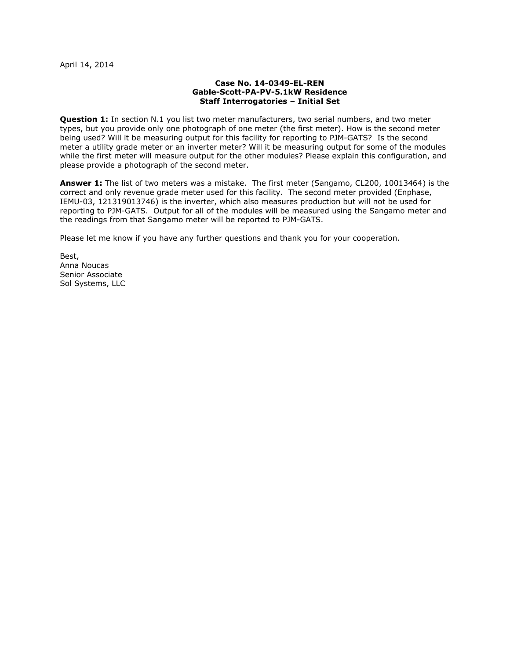## Case No. 14-0349-EL-REN Gable-Scott-PA-PV-5.1kW Residence Staff Interrogatories – Initial Set

**Question 1:** In section N.1 you list two meter manufacturers, two serial numbers, and two meter types, but you provide only one photograph of one meter (the first meter). How is the second meter being used? Will it be measuring output for this facility for reporting to PJM-GATS? Is the second meter a utility grade meter or an inverter meter? Will it be measuring output for some of the modules while the first meter will measure output for the other modules? Please explain this configuration, and please provide a photograph of the second meter.

Answer 1: The list of two meters was a mistake. The first meter (Sangamo, CL200, 10013464) is the correct and only revenue grade meter used for this facility. The second meter provided (Enphase, IEMU-03, 121319013746) is the inverter, which also measures production but will not be used for reporting to PJM-GATS. Output for all of the modules will be measured using the Sangamo meter and the readings from that Sangamo meter will be reported to PJM-GATS.

Please let me know if you have any further questions and thank you for your cooperation.

Best, Anna Noucas Senior Associate Sol Systems, LLC